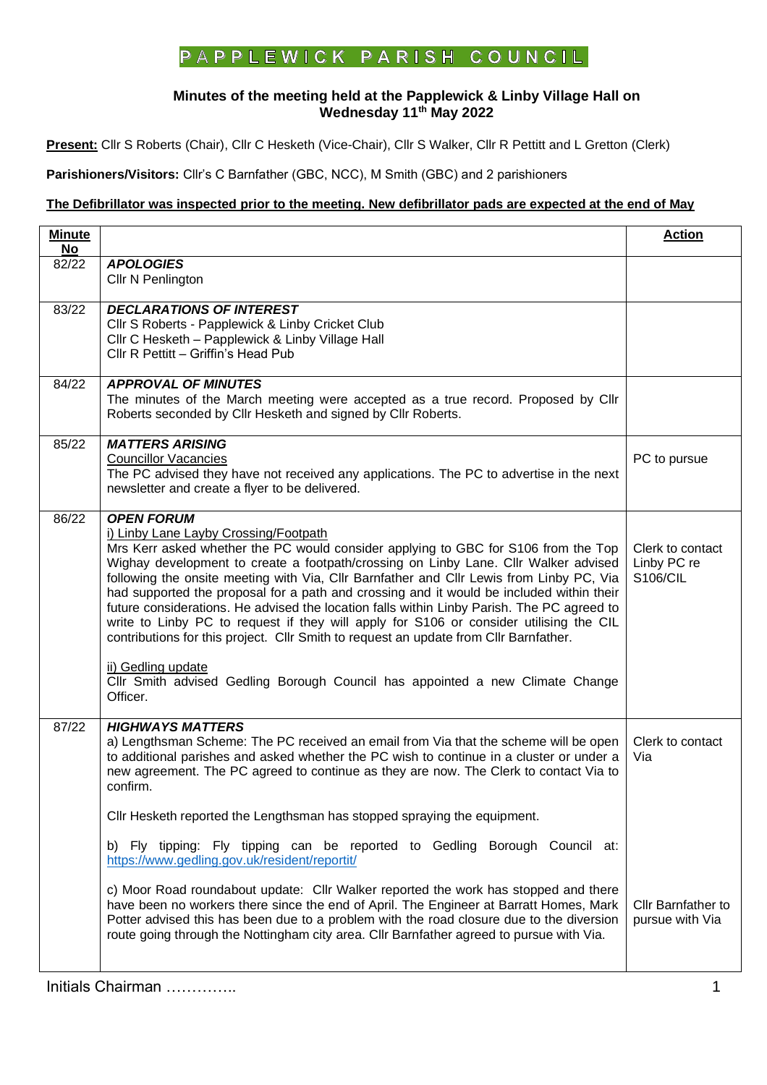## **P** A **P P L E W I C K P A R I S H C O U N C I L**

## **Minutes of the meeting held at the Papplewick & Linby Village Hall on Wednesday 11th May 2022**

**Present:** Cllr S Roberts (Chair), Cllr C Hesketh (Vice-Chair), Cllr S Walker, Cllr R Pettitt and L Gretton (Clerk)

**Parishioners/Visitors:** Cllr's C Barnfather (GBC, NCC), M Smith (GBC) and 2 parishioners

## **The Defibrillator was inspected prior to the meeting. New defibrillator pads are expected at the end of May**

| <b>Minute</b><br>$No$ |                                                                                                                                                                                                                                                                                                                                                                                                                                                                                                                                                                                                                                                                                                                                                                                                                                     | <b>Action</b>                                      |
|-----------------------|-------------------------------------------------------------------------------------------------------------------------------------------------------------------------------------------------------------------------------------------------------------------------------------------------------------------------------------------------------------------------------------------------------------------------------------------------------------------------------------------------------------------------------------------------------------------------------------------------------------------------------------------------------------------------------------------------------------------------------------------------------------------------------------------------------------------------------------|----------------------------------------------------|
| 82/22                 | <b>APOLOGIES</b><br>Cllr N Penlington                                                                                                                                                                                                                                                                                                                                                                                                                                                                                                                                                                                                                                                                                                                                                                                               |                                                    |
| 83/22                 | <b>DECLARATIONS OF INTEREST</b><br>Cllr S Roberts - Papplewick & Linby Cricket Club<br>Cllr C Hesketh - Papplewick & Linby Village Hall<br>Cllr R Pettitt - Griffin's Head Pub                                                                                                                                                                                                                                                                                                                                                                                                                                                                                                                                                                                                                                                      |                                                    |
| 84/22                 | <b>APPROVAL OF MINUTES</b><br>The minutes of the March meeting were accepted as a true record. Proposed by Cllr<br>Roberts seconded by Cllr Hesketh and signed by Cllr Roberts.                                                                                                                                                                                                                                                                                                                                                                                                                                                                                                                                                                                                                                                     |                                                    |
| 85/22                 | <b>MATTERS ARISING</b><br><b>Councillor Vacancies</b><br>The PC advised they have not received any applications. The PC to advertise in the next<br>newsletter and create a flyer to be delivered.                                                                                                                                                                                                                                                                                                                                                                                                                                                                                                                                                                                                                                  | PC to pursue                                       |
| 86/22                 | <b>OPEN FORUM</b><br>i) Linby Lane Layby Crossing/Footpath<br>Mrs Kerr asked whether the PC would consider applying to GBC for S106 from the Top<br>Wighay development to create a footpath/crossing on Linby Lane. Cllr Walker advised<br>following the onsite meeting with Via, Cllr Barnfather and Cllr Lewis from Linby PC, Via<br>had supported the proposal for a path and crossing and it would be included within their<br>future considerations. He advised the location falls within Linby Parish. The PC agreed to<br>write to Linby PC to request if they will apply for S106 or consider utilising the CIL<br>contributions for this project. Cllr Smith to request an update from Cllr Barnfather.<br>ii) Gedling update<br>Cllr Smith advised Gedling Borough Council has appointed a new Climate Change<br>Officer. | Clerk to contact<br>Linby PC re<br><b>S106/CIL</b> |
| 87/22                 | <b>HIGHWAYS MATTERS</b><br>a) Lengthsman Scheme: The PC received an email from Via that the scheme will be open<br>to additional parishes and asked whether the PC wish to continue in a cluster or under a<br>new agreement. The PC agreed to continue as they are now. The Clerk to contact Via to<br>confirm.                                                                                                                                                                                                                                                                                                                                                                                                                                                                                                                    | Clerk to contact<br>Via                            |
|                       | Cllr Hesketh reported the Lengthsman has stopped spraying the equipment.<br>b) Fly tipping: Fly tipping can be reported to Gedling Borough Council at:<br>https://www.gedling.gov.uk/resident/reportit/                                                                                                                                                                                                                                                                                                                                                                                                                                                                                                                                                                                                                             |                                                    |
|                       | c) Moor Road roundabout update: Cllr Walker reported the work has stopped and there<br>have been no workers there since the end of April. The Engineer at Barratt Homes, Mark<br>Potter advised this has been due to a problem with the road closure due to the diversion<br>route going through the Nottingham city area. Cllr Barnfather agreed to pursue with Via.                                                                                                                                                                                                                                                                                                                                                                                                                                                               | <b>Cllr Barnfather to</b><br>pursue with Via       |

Initials Chairman ………….. 1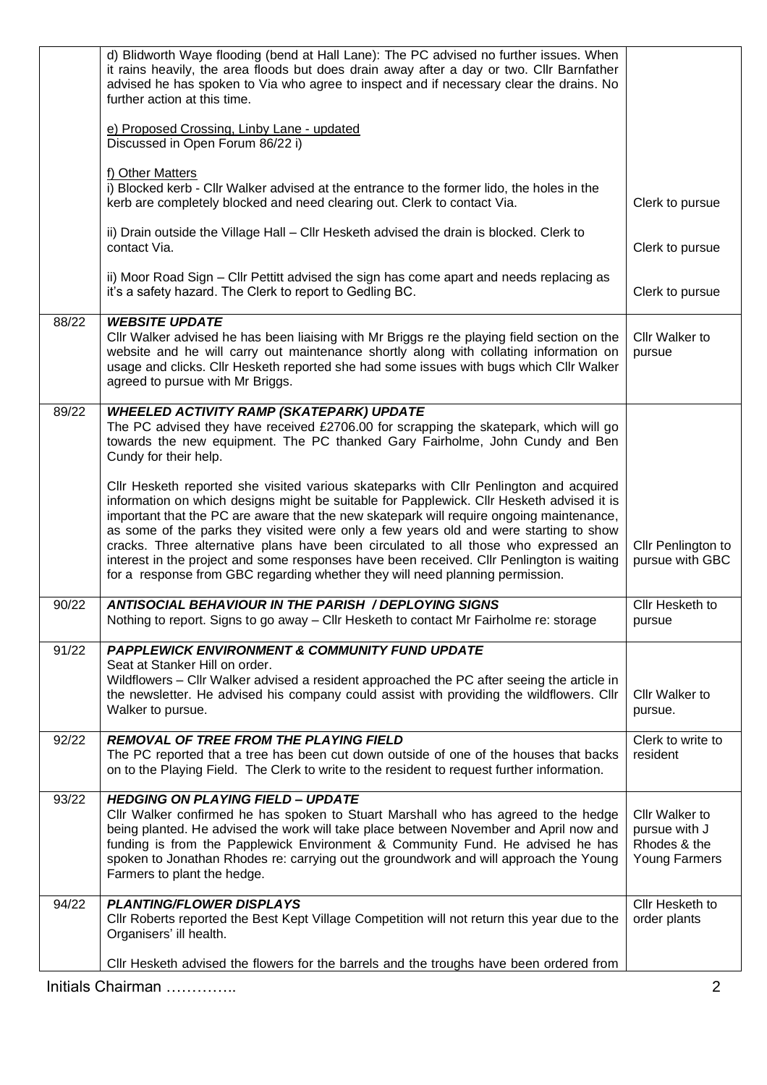|       | CIIr Hesketh advised the flowers for the barrels and the troughs have been ordered from                                                                                                                                                                                                                                                                                                                                                                                                                                                                                                                                                      |                                                                  |
|-------|----------------------------------------------------------------------------------------------------------------------------------------------------------------------------------------------------------------------------------------------------------------------------------------------------------------------------------------------------------------------------------------------------------------------------------------------------------------------------------------------------------------------------------------------------------------------------------------------------------------------------------------------|------------------------------------------------------------------|
| 94/22 | <b>PLANTING/FLOWER DISPLAYS</b><br>Cllr Roberts reported the Best Kept Village Competition will not return this year due to the<br>Organisers' ill health.                                                                                                                                                                                                                                                                                                                                                                                                                                                                                   | Cllr Hesketh to<br>order plants                                  |
| 93/22 | <b>HEDGING ON PLAYING FIELD - UPDATE</b><br>Cllr Walker confirmed he has spoken to Stuart Marshall who has agreed to the hedge<br>being planted. He advised the work will take place between November and April now and<br>funding is from the Papplewick Environment & Community Fund. He advised he has<br>spoken to Jonathan Rhodes re: carrying out the groundwork and will approach the Young<br>Farmers to plant the hedge.                                                                                                                                                                                                            | Cllr Walker to<br>pursue with J<br>Rhodes & the<br>Young Farmers |
| 92/22 | <b>REMOVAL OF TREE FROM THE PLAYING FIELD</b><br>The PC reported that a tree has been cut down outside of one of the houses that backs<br>on to the Playing Field. The Clerk to write to the resident to request further information.                                                                                                                                                                                                                                                                                                                                                                                                        | Clerk to write to<br>resident                                    |
| 91/22 | <b>PAPPLEWICK ENVIRONMENT &amp; COMMUNITY FUND UPDATE</b><br>Seat at Stanker Hill on order.<br>Wildflowers - Cllr Walker advised a resident approached the PC after seeing the article in<br>the newsletter. He advised his company could assist with providing the wildflowers. Cllr<br>Walker to pursue.                                                                                                                                                                                                                                                                                                                                   | Cllr Walker to<br>pursue.                                        |
| 90/22 | <b>ANTISOCIAL BEHAVIOUR IN THE PARISH / DEPLOYING SIGNS</b><br>Nothing to report. Signs to go away - Cllr Hesketh to contact Mr Fairholme re: storage                                                                                                                                                                                                                                                                                                                                                                                                                                                                                        | Cllr Hesketh to<br>pursue                                        |
|       | CIIr Hesketh reported she visited various skateparks with CIIr Penlington and acquired<br>information on which designs might be suitable for Papplewick. Cllr Hesketh advised it is<br>important that the PC are aware that the new skatepark will require ongoing maintenance,<br>as some of the parks they visited were only a few years old and were starting to show<br>cracks. Three alternative plans have been circulated to all those who expressed an<br>interest in the project and some responses have been received. Cllr Penlington is waiting<br>for a response from GBC regarding whether they will need planning permission. | Cllr Penlington to<br>pursue with GBC                            |
| 89/22 | <b>WHEELED ACTIVITY RAMP (SKATEPARK) UPDATE</b><br>The PC advised they have received £2706.00 for scrapping the skatepark, which will go<br>towards the new equipment. The PC thanked Gary Fairholme, John Cundy and Ben<br>Cundy for their help.                                                                                                                                                                                                                                                                                                                                                                                            |                                                                  |
| 88/22 | <b>WEBSITE UPDATE</b><br>CIIr Walker advised he has been liaising with Mr Briggs re the playing field section on the<br>website and he will carry out maintenance shortly along with collating information on<br>usage and clicks. Cllr Hesketh reported she had some issues with bugs which Cllr Walker<br>agreed to pursue with Mr Briggs.                                                                                                                                                                                                                                                                                                 | Cllr Walker to<br>pursue                                         |
|       | contact Via.<br>ii) Moor Road Sign – Cllr Pettitt advised the sign has come apart and needs replacing as<br>it's a safety hazard. The Clerk to report to Gedling BC.                                                                                                                                                                                                                                                                                                                                                                                                                                                                         | Clerk to pursue<br>Clerk to pursue                               |
|       | f) Other Matters<br>i) Blocked kerb - Cllr Walker advised at the entrance to the former lido, the holes in the<br>kerb are completely blocked and need clearing out. Clerk to contact Via.<br>ii) Drain outside the Village Hall - Cllr Hesketh advised the drain is blocked. Clerk to                                                                                                                                                                                                                                                                                                                                                       | Clerk to pursue                                                  |
|       | e) Proposed Crossing, Linby Lane - updated<br>Discussed in Open Forum 86/22 i)                                                                                                                                                                                                                                                                                                                                                                                                                                                                                                                                                               |                                                                  |
|       | d) Blidworth Waye flooding (bend at Hall Lane): The PC advised no further issues. When<br>it rains heavily, the area floods but does drain away after a day or two. Cllr Barnfather<br>advised he has spoken to Via who agree to inspect and if necessary clear the drains. No<br>further action at this time.                                                                                                                                                                                                                                                                                                                               |                                                                  |

Initials Chairman ………….. 2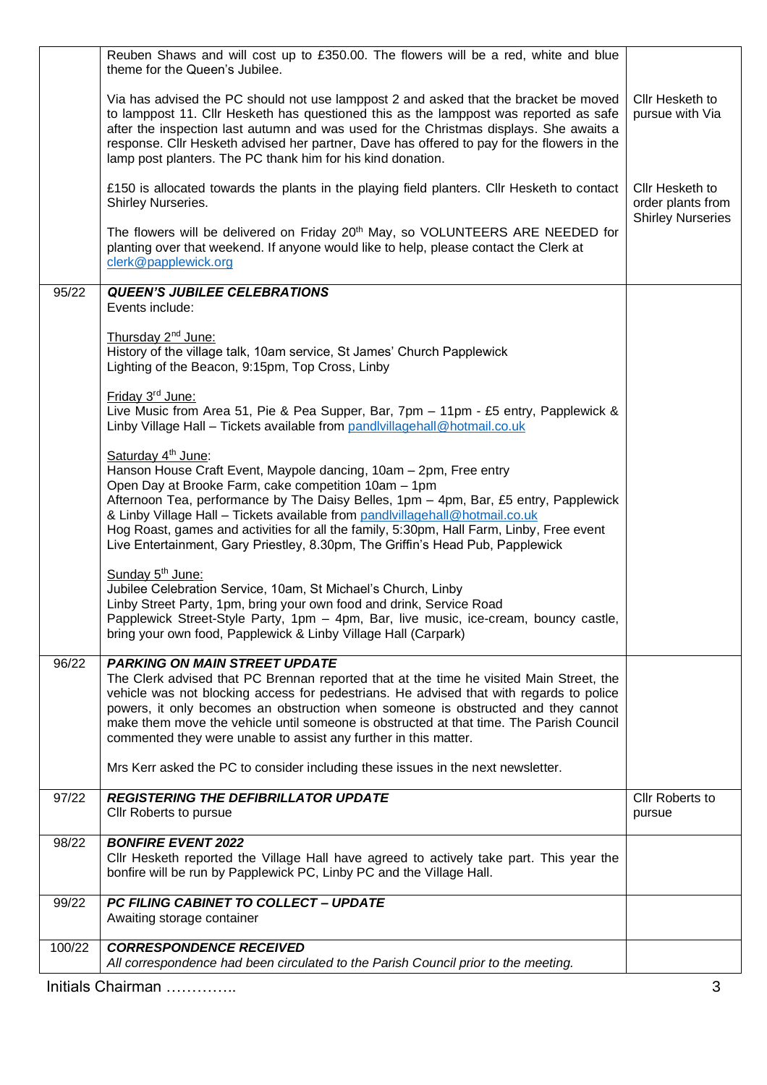|        | Reuben Shaws and will cost up to £350.00. The flowers will be a red, white and blue<br>theme for the Queen's Jubilee.                                                                                                                                                                                                                                                                                                                                                                                                                                              |                                                                  |
|--------|--------------------------------------------------------------------------------------------------------------------------------------------------------------------------------------------------------------------------------------------------------------------------------------------------------------------------------------------------------------------------------------------------------------------------------------------------------------------------------------------------------------------------------------------------------------------|------------------------------------------------------------------|
|        | Via has advised the PC should not use lamppost 2 and asked that the bracket be moved<br>to lamppost 11. Cllr Hesketh has questioned this as the lamppost was reported as safe<br>after the inspection last autumn and was used for the Christmas displays. She awaits a<br>response. Cllr Hesketh advised her partner, Dave has offered to pay for the flowers in the<br>lamp post planters. The PC thank him for his kind donation.                                                                                                                               | Cllr Hesketh to<br>pursue with Via                               |
|        | £150 is allocated towards the plants in the playing field planters. Cllr Hesketh to contact<br>Shirley Nurseries.                                                                                                                                                                                                                                                                                                                                                                                                                                                  | Cllr Hesketh to<br>order plants from<br><b>Shirley Nurseries</b> |
|        | The flowers will be delivered on Friday 20 <sup>th</sup> May, so VOLUNTEERS ARE NEEDED for<br>planting over that weekend. If anyone would like to help, please contact the Clerk at<br>clerk@papplewick.org                                                                                                                                                                                                                                                                                                                                                        |                                                                  |
| 95/22  | <b>QUEEN'S JUBILEE CELEBRATIONS</b><br>Events include:                                                                                                                                                                                                                                                                                                                                                                                                                                                                                                             |                                                                  |
|        | Thursday 2 <sup>nd</sup> June:<br>History of the village talk, 10am service, St James' Church Papplewick<br>Lighting of the Beacon, 9:15pm, Top Cross, Linby                                                                                                                                                                                                                                                                                                                                                                                                       |                                                                  |
|        | Friday 3rd June:<br>Live Music from Area 51, Pie & Pea Supper, Bar, 7pm - 11pm - £5 entry, Papplewick &<br>Linby Village Hall - Tickets available from pandlvillagehall@hotmail.co.uk                                                                                                                                                                                                                                                                                                                                                                              |                                                                  |
|        | Saturday 4 <sup>th</sup> June:<br>Hanson House Craft Event, Maypole dancing, 10am - 2pm, Free entry<br>Open Day at Brooke Farm, cake competition 10am - 1pm<br>Afternoon Tea, performance by The Daisy Belles, 1pm - 4pm, Bar, £5 entry, Papplewick<br>& Linby Village Hall - Tickets available from pandlvillagehall@hotmail.co.uk<br>Hog Roast, games and activities for all the family, 5:30pm, Hall Farm, Linby, Free event<br>Live Entertainment, Gary Priestley, 8.30pm, The Griffin's Head Pub, Papplewick                                                  |                                                                  |
|        | Sunday 5 <sup>th</sup> June:<br>Jubilee Celebration Service, 10am, St Michael's Church, Linby<br>Linby Street Party, 1pm, bring your own food and drink, Service Road<br>Papplewick Street-Style Party, 1pm - 4pm, Bar, live music, ice-cream, bouncy castle,<br>bring your own food, Papplewick & Linby Village Hall (Carpark)                                                                                                                                                                                                                                    |                                                                  |
| 96/22  | <b>PARKING ON MAIN STREET UPDATE</b><br>The Clerk advised that PC Brennan reported that at the time he visited Main Street, the<br>vehicle was not blocking access for pedestrians. He advised that with regards to police<br>powers, it only becomes an obstruction when someone is obstructed and they cannot<br>make them move the vehicle until someone is obstructed at that time. The Parish Council<br>commented they were unable to assist any further in this matter.<br>Mrs Kerr asked the PC to consider including these issues in the next newsletter. |                                                                  |
| 97/22  | <b>REGISTERING THE DEFIBRILLATOR UPDATE</b>                                                                                                                                                                                                                                                                                                                                                                                                                                                                                                                        | Cllr Roberts to                                                  |
|        | Cllr Roberts to pursue                                                                                                                                                                                                                                                                                                                                                                                                                                                                                                                                             | pursue                                                           |
| 98/22  | <b>BONFIRE EVENT 2022</b><br>CIIr Hesketh reported the Village Hall have agreed to actively take part. This year the<br>bonfire will be run by Papplewick PC, Linby PC and the Village Hall.                                                                                                                                                                                                                                                                                                                                                                       |                                                                  |
| 99/22  | PC FILING CABINET TO COLLECT - UPDATE<br>Awaiting storage container                                                                                                                                                                                                                                                                                                                                                                                                                                                                                                |                                                                  |
| 100/22 | <b>CORRESPONDENCE RECEIVED</b><br>All correspondence had been circulated to the Parish Council prior to the meeting.                                                                                                                                                                                                                                                                                                                                                                                                                                               |                                                                  |
|        | Initials Chairman                                                                                                                                                                                                                                                                                                                                                                                                                                                                                                                                                  | 3                                                                |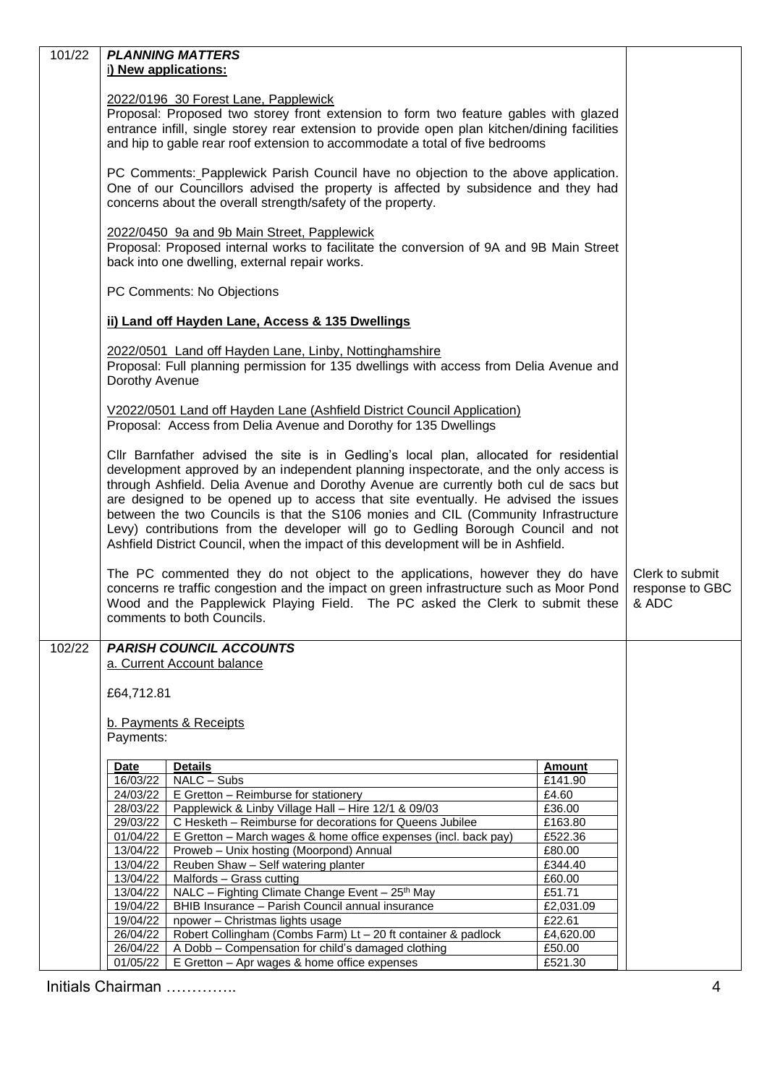| 101/22 |                                                                                         | <b>PLANNING MATTERS</b>                                                                                         |                   |                 |  |
|--------|-----------------------------------------------------------------------------------------|-----------------------------------------------------------------------------------------------------------------|-------------------|-----------------|--|
|        | i) New applications:                                                                    |                                                                                                                 |                   |                 |  |
|        |                                                                                         |                                                                                                                 |                   |                 |  |
|        | 2022/0196 30 Forest Lane, Papplewick                                                    |                                                                                                                 |                   |                 |  |
|        |                                                                                         | Proposal: Proposed two storey front extension to form two feature gables with glazed                            |                   |                 |  |
|        |                                                                                         | entrance infill, single storey rear extension to provide open plan kitchen/dining facilities                    |                   |                 |  |
|        |                                                                                         | and hip to gable rear roof extension to accommodate a total of five bedrooms                                    |                   |                 |  |
|        |                                                                                         |                                                                                                                 |                   |                 |  |
|        | PC Comments: Papplewick Parish Council have no objection to the above application.      |                                                                                                                 |                   |                 |  |
|        | One of our Councillors advised the property is affected by subsidence and they had      |                                                                                                                 |                   |                 |  |
|        | concerns about the overall strength/safety of the property.                             |                                                                                                                 |                   |                 |  |
|        |                                                                                         |                                                                                                                 |                   |                 |  |
|        | 2022/0450 9a and 9b Main Street, Papplewick                                             |                                                                                                                 |                   |                 |  |
|        | Proposal: Proposed internal works to facilitate the conversion of 9A and 9B Main Street |                                                                                                                 |                   |                 |  |
|        | back into one dwelling, external repair works.                                          |                                                                                                                 |                   |                 |  |
|        |                                                                                         |                                                                                                                 |                   |                 |  |
|        | PC Comments: No Objections                                                              |                                                                                                                 |                   |                 |  |
|        |                                                                                         |                                                                                                                 |                   |                 |  |
|        | ii) Land off Hayden Lane, Access & 135 Dwellings                                        |                                                                                                                 |                   |                 |  |
|        |                                                                                         | 2022/0501 Land off Hayden Lane, Linby, Nottinghamshire                                                          |                   |                 |  |
|        |                                                                                         | Proposal: Full planning permission for 135 dwellings with access from Delia Avenue and                          |                   |                 |  |
|        | Dorothy Avenue                                                                          |                                                                                                                 |                   |                 |  |
|        |                                                                                         |                                                                                                                 |                   |                 |  |
|        |                                                                                         | V2022/0501 Land off Hayden Lane (Ashfield District Council Application)                                         |                   |                 |  |
|        | Proposal: Access from Delia Avenue and Dorothy for 135 Dwellings                        |                                                                                                                 |                   |                 |  |
|        |                                                                                         |                                                                                                                 |                   |                 |  |
|        | Cllr Barnfather advised the site is in Gedling's local plan, allocated for residential  |                                                                                                                 |                   |                 |  |
|        | development approved by an independent planning inspectorate, and the only access is    |                                                                                                                 |                   |                 |  |
|        |                                                                                         | through Ashfield. Delia Avenue and Dorothy Avenue are currently both cul de sacs but                            |                   |                 |  |
|        | are designed to be opened up to access that site eventually. He advised the issues      |                                                                                                                 |                   |                 |  |
|        | between the two Councils is that the S106 monies and CIL (Community Infrastructure      |                                                                                                                 |                   |                 |  |
|        | Levy) contributions from the developer will go to Gedling Borough Council and not       |                                                                                                                 |                   |                 |  |
|        | Ashfield District Council, when the impact of this development will be in Ashfield.     |                                                                                                                 |                   |                 |  |
|        |                                                                                         |                                                                                                                 |                   |                 |  |
|        | The PC commented they do not object to the applications, however they do have           |                                                                                                                 |                   | Clerk to submit |  |
|        |                                                                                         | concerns re traffic congestion and the impact on green infrastructure such as Moor Pond                         |                   | response to GBC |  |
|        |                                                                                         | Wood and the Papplewick Playing Field. The PC asked the Clerk to submit these                                   |                   | & ADC           |  |
|        | comments to both Councils.                                                              |                                                                                                                 |                   |                 |  |
| 102/22 | <b>PARISH COUNCIL ACCOUNTS</b>                                                          |                                                                                                                 |                   |                 |  |
|        |                                                                                         | a. Current Account balance                                                                                      |                   |                 |  |
|        |                                                                                         |                                                                                                                 |                   |                 |  |
|        | £64,712.81                                                                              |                                                                                                                 |                   |                 |  |
|        |                                                                                         |                                                                                                                 |                   |                 |  |
|        | b. Payments & Receipts                                                                  |                                                                                                                 |                   |                 |  |
|        | Payments:                                                                               |                                                                                                                 |                   |                 |  |
|        |                                                                                         |                                                                                                                 |                   |                 |  |
|        | <b>Date</b>                                                                             | <b>Details</b>                                                                                                  | <b>Amount</b>     |                 |  |
|        | 16/03/22                                                                                | NALC - Subs                                                                                                     | £141.90           |                 |  |
|        | 24/03/22                                                                                | E Gretton - Reimburse for stationery                                                                            | £4.60             |                 |  |
|        | 28/03/22<br>29/03/22                                                                    | Papplewick & Linby Village Hall - Hire 12/1 & 09/03<br>C Hesketh - Reimburse for decorations for Queens Jubilee | £36.00<br>£163.80 |                 |  |
|        | 01/04/22                                                                                | E Gretton - March wages & home office expenses (incl. back pay)                                                 | £522.36           |                 |  |
|        | 13/04/22                                                                                | Proweb - Unix hosting (Moorpond) Annual                                                                         | £80.00            |                 |  |
|        | 13/04/22                                                                                | Reuben Shaw - Self watering planter                                                                             | £344.40           |                 |  |
|        | 13/04/22                                                                                | Malfords - Grass cutting                                                                                        | £60.00            |                 |  |
|        | 13/04/22                                                                                | NALC - Fighting Climate Change Event - 25th May                                                                 | £51.71            |                 |  |
|        | 19/04/22                                                                                | BHIB Insurance - Parish Council annual insurance                                                                | £2,031.09         |                 |  |
|        | 19/04/22                                                                                | npower - Christmas lights usage                                                                                 | £22.61            |                 |  |
|        | 26/04/22                                                                                | Robert Collingham (Combs Farm) Lt - 20 ft container & padlock                                                   | £4,620.00         |                 |  |
|        | 26/04/22                                                                                | A Dobb - Compensation for child's damaged clothing                                                              | £50.00            |                 |  |
|        | 01/05/22                                                                                | E Gretton - Apr wages & home office expenses                                                                    | £521.30           |                 |  |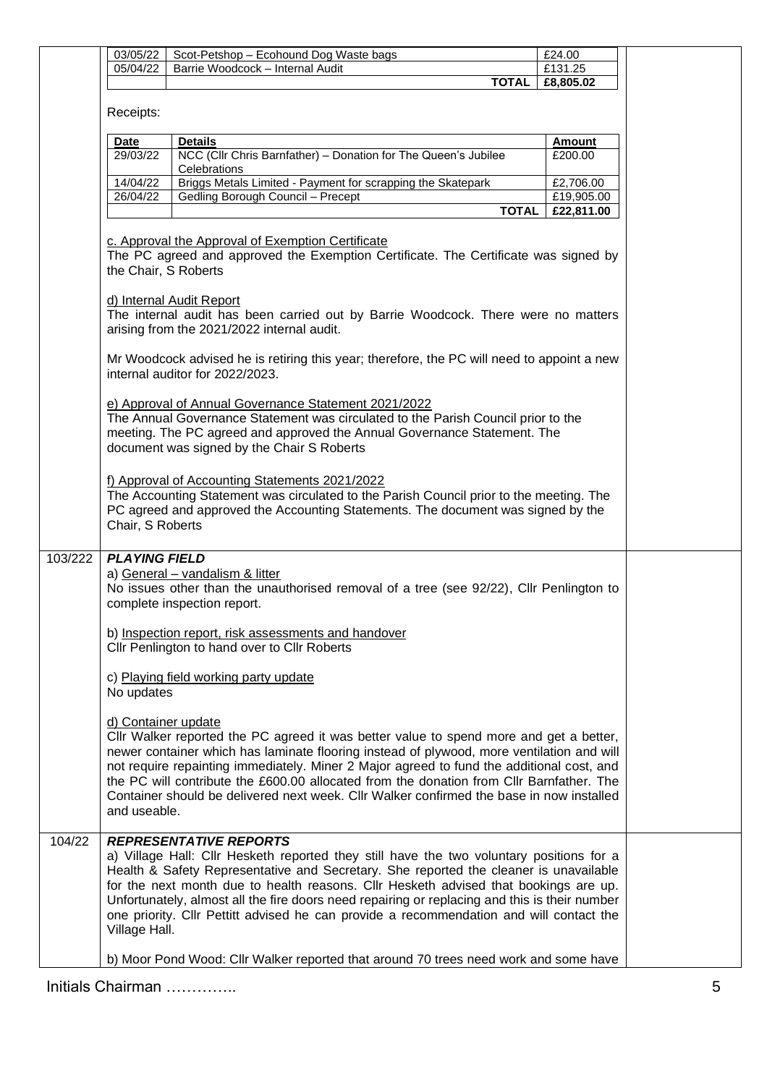|         | 03/05/22                            | Scot-Petshop - Ecohound Dog Waste bags                                                                                                                                                                                                                                                                                                                                                                                                                                                                 | £24.00        |
|---------|-------------------------------------|--------------------------------------------------------------------------------------------------------------------------------------------------------------------------------------------------------------------------------------------------------------------------------------------------------------------------------------------------------------------------------------------------------------------------------------------------------------------------------------------------------|---------------|
|         | 05/04/22                            | Barrie Woodcock - Internal Audit                                                                                                                                                                                                                                                                                                                                                                                                                                                                       | £131.25       |
|         |                                     | <b>TOTAL</b>                                                                                                                                                                                                                                                                                                                                                                                                                                                                                           | £8,805.02     |
|         | Receipts:                           |                                                                                                                                                                                                                                                                                                                                                                                                                                                                                                        |               |
|         | <b>Date</b>                         | <b>Details</b>                                                                                                                                                                                                                                                                                                                                                                                                                                                                                         | <b>Amount</b> |
|         | 29/03/22                            | NCC (Cllr Chris Barnfather) - Donation for The Queen's Jubilee<br>Celebrations                                                                                                                                                                                                                                                                                                                                                                                                                         | £200.00       |
|         | 14/04/22                            | Briggs Metals Limited - Payment for scrapping the Skatepark                                                                                                                                                                                                                                                                                                                                                                                                                                            | £2,706.00     |
|         | 26/04/22                            | Gedling Borough Council - Precept                                                                                                                                                                                                                                                                                                                                                                                                                                                                      | £19,905.00    |
|         |                                     | <b>TOTAL</b>                                                                                                                                                                                                                                                                                                                                                                                                                                                                                           | £22,811.00    |
|         | the Chair, S Roberts                | c. Approval the Approval of Exemption Certificate<br>The PC agreed and approved the Exemption Certificate. The Certificate was signed by<br>d) Internal Audit Report                                                                                                                                                                                                                                                                                                                                   |               |
|         |                                     | The internal audit has been carried out by Barrie Woodcock. There were no matters<br>arising from the 2021/2022 internal audit.                                                                                                                                                                                                                                                                                                                                                                        |               |
|         |                                     | Mr Woodcock advised he is retiring this year; therefore, the PC will need to appoint a new<br>internal auditor for 2022/2023.                                                                                                                                                                                                                                                                                                                                                                          |               |
|         |                                     | e) Approval of Annual Governance Statement 2021/2022<br>The Annual Governance Statement was circulated to the Parish Council prior to the<br>meeting. The PC agreed and approved the Annual Governance Statement. The<br>document was signed by the Chair S Roberts                                                                                                                                                                                                                                    |               |
|         | Chair, S Roberts                    | f) Approval of Accounting Statements 2021/2022<br>The Accounting Statement was circulated to the Parish Council prior to the meeting. The<br>PC agreed and approved the Accounting Statements. The document was signed by the                                                                                                                                                                                                                                                                          |               |
| 103/222 | <b>PLAYING FIELD</b>                | a) General - vandalism & litter<br>No issues other than the unauthorised removal of a tree (see 92/22), Cllr Penlington to<br>complete inspection report.<br>b) Inspection report, risk assessments and handover<br>Cllr Penlington to hand over to Cllr Roberts                                                                                                                                                                                                                                       |               |
|         | No updates                          | c) Playing field working party update                                                                                                                                                                                                                                                                                                                                                                                                                                                                  |               |
|         | d) Container update<br>and useable. | CIIr Walker reported the PC agreed it was better value to spend more and get a better,<br>newer container which has laminate flooring instead of plywood, more ventilation and will<br>not require repainting immediately. Miner 2 Major agreed to fund the additional cost, and<br>the PC will contribute the £600.00 allocated from the donation from CIIr Barnfather. The<br>Container should be delivered next week. Cllr Walker confirmed the base in now installed                               |               |
| 104/22  | Village Hall.                       | <b>REPRESENTATIVE REPORTS</b><br>a) Village Hall: Cllr Hesketh reported they still have the two voluntary positions for a<br>Health & Safety Representative and Secretary. She reported the cleaner is unavailable<br>for the next month due to health reasons. Cllr Hesketh advised that bookings are up.<br>Unfortunately, almost all the fire doors need repairing or replacing and this is their number<br>one priority. Cllr Pettitt advised he can provide a recommendation and will contact the |               |
|         |                                     | b) Moor Pond Wood: Cllr Walker reported that around 70 trees need work and some have                                                                                                                                                                                                                                                                                                                                                                                                                   |               |

Initials Chairman ………….. 5